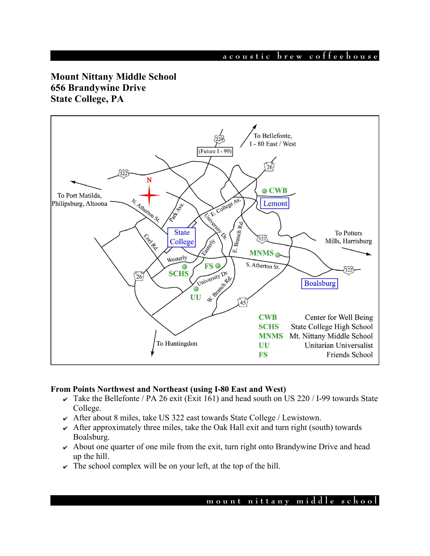**a c o u s t i c b r e w c o f f e e h o u s e**

# **Mount Nittany Middle School 656 Brandywine Drive State College, PA**



## **From Points Northwest and Northeast (using I-80 East and West)**

- $\overline{\smash{\mathsf{K}}}$  Take the Bellefonte / PA 26 exit (Exit 161) and head south on US 220 / I-99 towards State College.
- $\sim$  After about 8 miles, take US 322 east towards State College / Lewistown.
- $\sim$  After approximately three miles, take the Oak Hall exit and turn right (south) towards Boalsburg.
- $\sim$  About one quarter of one mile from the exit, turn right onto Brandywine Drive and head up the hill.
- $\triangleright$  The school complex will be on your left, at the top of the hill.